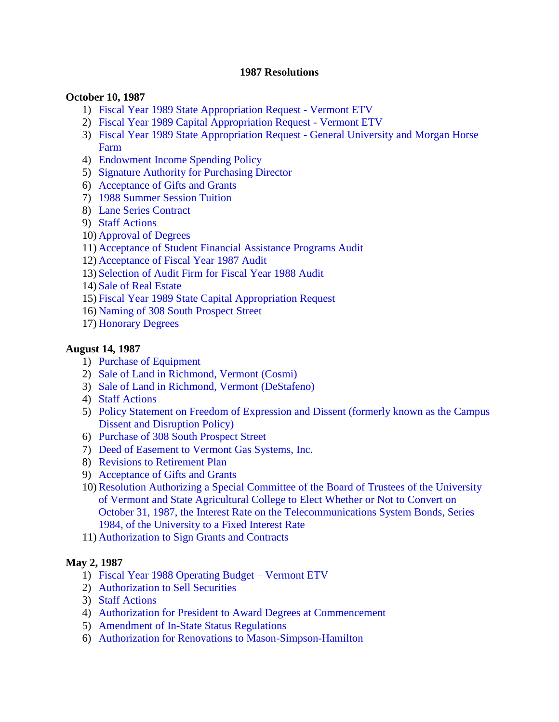#### **1987 Resolutions**

#### **October 10, 1987**

- 1) [Fiscal Year 1989 State Appropriation Request -](#page-2-0) Vermont ETV
- 2) [Fiscal Year 1989 Capital Appropriation Request -](#page-2-0) Vermont ETV
- 3) [Fiscal Year 1989 State Appropriation Request -](#page-2-0) General University and Morgan Horse Farm
- 4) [Endowment Income Spending Policy](#page-2-0)
- 5) [Signature Authority for Purchasing Director](#page-3-0)
- 6) [Acceptance of Gifts and Grants](#page-3-0)
- 7) [1988 Summer Session Tuition](#page-3-0)
- 8) [Lane Series Contract](#page-3-0)
- 9) [Staff Actions](#page-3-0)
- 10) [Approval of Degrees](#page-3-0)
- 11) [Acceptance of Student Financial Assistance Programs Audit](#page-4-0)
- 12) [Acceptance of Fiscal Year 1987 Audit](#page-4-0)
- 13) [Selection of Audit Firm for Fiscal Year 1988 Audit](#page-4-0)
- 14) [Sale of Real Estate](#page-4-0)
- 15) [Fiscal Year 1989 State Capital Appropriation Request](#page-4-0)
- 16) [Naming of 308 South Prospect Street](#page-5-0)
- 17) [Honorary Degrees](#page-6-0)

#### **August 14, 1987**

- 1) [Purchase of Equipment](#page-7-0)
- 2) [Sale of Land in Richmond, Vermont \(Cosmi\)](#page-7-0)
- 3) [Sale of Land in Richmond, Vermont \(DeStafeno\)](#page-7-0)
- 4) [Staff Actions](#page-8-0)
- 5) [Policy Statement on Freedom of Expression and Dissent \(formerly known as the Campus](#page-8-0)  Dissent and Disruption Policy)
- 6) [Purchase of 308 South Prospect Street](#page-8-0)
- 7) Deed of [Easement to Vermont Gas](#page-8-0) Systems, Inc.
- 8) [Revisions to Retirement Plan](#page-9-0)
- 9) [Acceptance of Gifts and Grants](#page-9-0)
- 10)Resolution Authorizing a Special Committee of the Board of Trustees of the University of Vermont and State Agricultural College to Elect Whether or Not to Convert on October 31, [1987, the Interest Rate on the Telecommunications System Bonds, Series](#page-9-0)  1984, of the University to a Fixed Interest Rate
- 11) [Authorization to Sign Grants and Contracts](#page-9-0)

#### **May 2, 1987**

- 1) [Fiscal Year 1988 Operating Budget –](#page-10-0) Vermont ETV
- 2) [Authorization to Sell Securities](#page-10-0)
- 3) [Staff Actions](#page-11-0)
- 4) [Authorization for President to Award Degrees at Commencement](#page-11-0)
- 5) [Amendment of In-State Status Regulations](#page-11-0)
- 6) [Authorization for Renovations to Mason-Simpson-Hamilton](#page-11-0)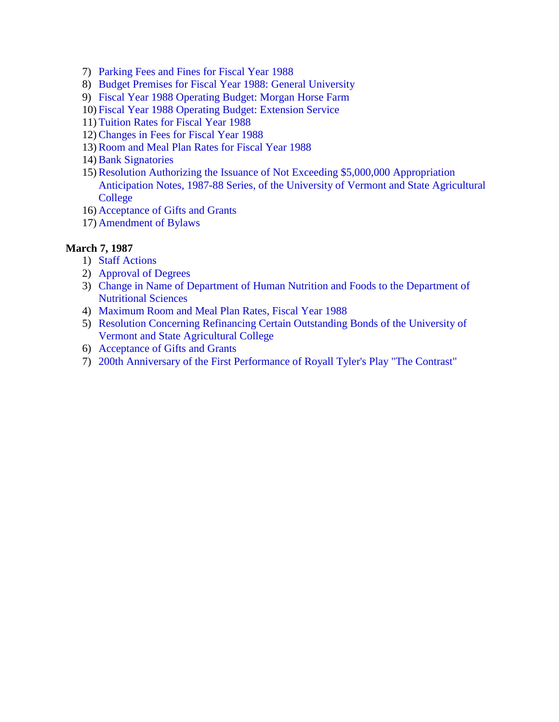- 7) [Parking Fees and Fines for Fiscal Year 1988](#page-11-0)
- 8) [Budget Premises for Fiscal Year 1988: General University](#page-12-0)
- 9) [Fiscal Year 1988 Operating Budget: Morgan Horse Farm](#page-12-0)
- 10) [Fiscal Year 1988 Operating Budget: Extension Service](#page-12-0)
- 11) Tuition Rates [for Fiscal Year 1988](#page-12-0)
- 12)[Changes in Fees for Fiscal Year 1988](#page-13-0)
- 13)[Room and Meal Plan Rates for Fiscal Year 1988](#page-13-0)
- 14) [Bank Signatories](#page-13-0)
- 15)Resolution Authorizing the Issuance of Not Exceeding \$5,000,000 Appropriation [Anticipation Notes, 1987-88 Series, of the University of](#page-13-0) Vermont and State Agricultural College
- 16) [Acceptance of Gifts and Grants](#page-14-0)
- 17) [Amendment of](#page-14-0) Bylaws

### **March 7, 1987**

- 1) [Staff Actions](#page-15-0)
- 2) [Approval of](#page-15-0) Degrees
- 3) Change in Name of Department [of Human Nutrition and Foods to](#page-15-0) the Department of Nutritional Sciences
- 4) [Maximum Room and Meal Plan Rates, Fiscal Year 1988](#page-15-0)
- 5) [Resolution Concerning Refinancing Certain Outstanding Bonds of the University of](#page-15-0) Vermont and State Agricultural College
- 6) [Acceptance of Gifts and Grants](#page-16-0)
- 7) [200th Anniversary of the First Performance of](#page-16-0) Royall Tyler's Play "The Contrast"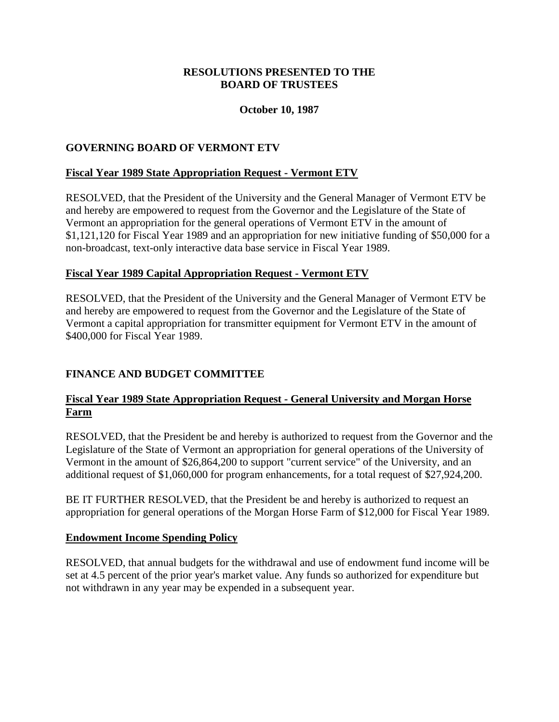# **October 10, 1987**

# <span id="page-2-0"></span>**GOVERNING BOARD OF VERMONT ETV**

# **Fiscal Year 1989 State Appropriation Request - Vermont ETV**

RESOLVED, that the President of the University and the General Manager of Vermont ETV be and hereby are empowered to request from the Governor and the Legislature of the State of Vermont an appropriation for the general operations of Vermont ETV in the amount of \$1,121,120 for Fiscal Year 1989 and an appropriation for new initiative funding of \$50,000 for a non-broadcast, text-only interactive data base service in Fiscal Year 1989.

# **Fiscal Year 1989 Capital Appropriation Request - Vermont ETV**

RESOLVED, that the President of the University and the General Manager of Vermont ETV be and hereby are empowered to request from the Governor and the Legislature of the State of Vermont a capital appropriation for transmitter equipment for Vermont ETV in the amount of \$400,000 for Fiscal Year 1989.

# **FINANCE AND BUDGET COMMITTEE**

# **Fiscal Year 1989 State Appropriation Request - General University and Morgan Horse Farm**

RESOLVED, that the President be and hereby is authorized to request from the Governor and the Legislature of the State of Vermont an appropriation for general operations of the University of Vermont in the amount of \$26,864,200 to support "current service" of the University, and an additional request of \$1,060,000 for program enhancements, for a total request of \$27,924,200.

BE IT FURTHER RESOLVED, that the President be and hereby is authorized to request an appropriation for general operations of the Morgan Horse Farm of \$12,000 for Fiscal Year 1989.

# **Endowment Income Spending Policy**

RESOLVED, that annual budgets for the withdrawal and use of endowment fund income will be set at 4.5 percent of the prior year's market value. Any funds so authorized for expenditure but not withdrawn in any year may be expended in a subsequent year.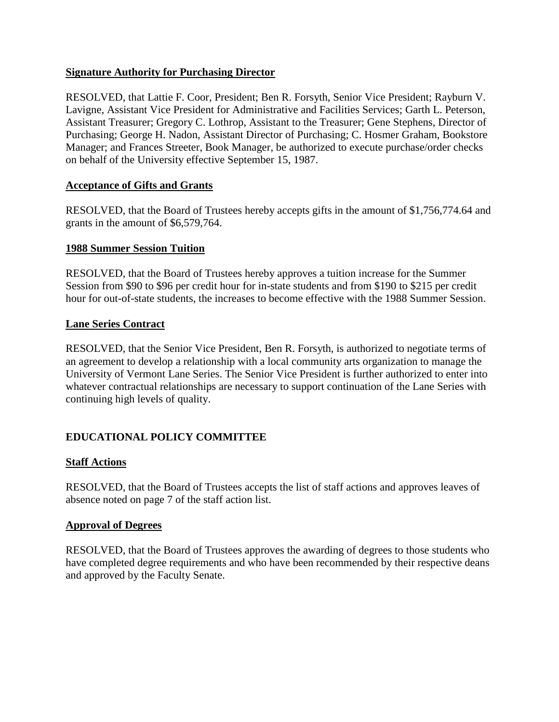### <span id="page-3-0"></span>**Signature Authority for Purchasing Director**

RESOLVED, that Lattie F. Coor, President; Ben R. Forsyth, Senior Vice President; Rayburn V. Lavigne, Assistant Vice President for Administrative and Facilities Services; Garth L. Peterson, Assistant Treasurer; Gregory C. Lothrop, Assistant to the Treasurer; Gene Stephens, Director of Purchasing; George H. Nadon, Assistant Director of Purchasing; C. Hosmer Graham, Bookstore Manager; and Frances Streeter, Book Manager, be authorized to execute purchase/order checks on behalf of the University effective September 15, 1987.

#### **Acceptance of Gifts and Grants**

RESOLVED, that the Board of Trustees hereby accepts gifts in the amount of \$1,756,774.64 and grants in the amount of \$6,579,764.

#### **1988 Summer Session Tuition**

RESOLVED, that the Board of Trustees hereby approves a tuition increase for the Summer Session from \$90 to \$96 per credit hour for in-state students and from \$190 to \$215 per credit hour for out-of-state students, the increases to become effective with the 1988 Summer Session.

#### **Lane Series Contract**

RESOLVED, that the Senior Vice President, Ben R. Forsyth, is authorized to negotiate terms of an agreement to develop a relationship with a local community arts organization to manage the University of Vermont Lane Series. The Senior Vice President is further authorized to enter into whatever contractual relationships are necessary to support continuation of the Lane Series with continuing high levels of quality.

# **EDUCATIONAL POLICY COMMITTEE**

#### **Staff Actions**

RESOLVED, that the Board of Trustees accepts the list of staff actions and approves leaves of absence noted on page 7 of the staff action list.

#### **Approval of Degrees**

RESOLVED, that the Board of Trustees approves the awarding of degrees to those students who have completed degree requirements and who have been recommended by their respective deans and approved by the Faculty Senate.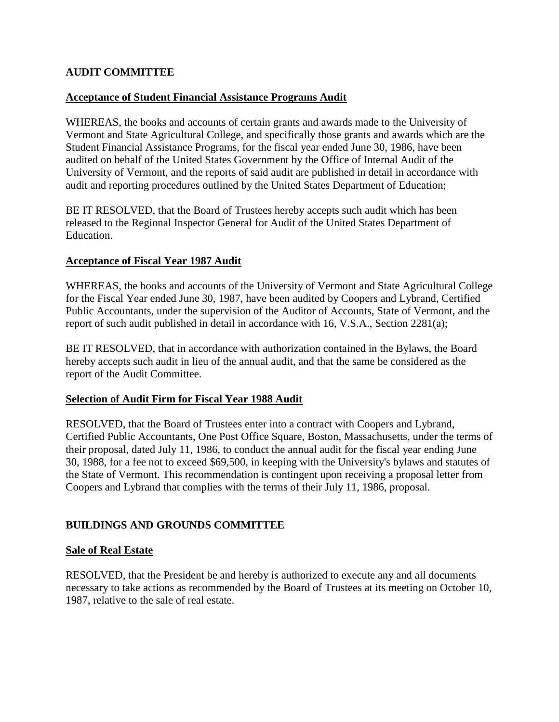# <span id="page-4-0"></span>**AUDIT COMMITTEE**

### **Acceptance of Student Financial Assistance Programs Audit**

WHEREAS, the books and accounts of certain grants and awards made to the University of Vermont and State Agricultural College, and specifically those grants and awards which are the Student Financial Assistance Programs, for the fiscal year ended June 30, 1986, have been audited on behalf of the United States Government by the Office of Internal Audit of the University of Vermont, and the reports of said audit are published in detail in accordance with audit and reporting procedures outlined by the United States Department of Education;

BE IT RESOLVED, that the Board of Trustees hereby accepts such audit which has been released to the Regional Inspector General for Audit of the United States Department of Education.

#### **Acceptance of Fiscal Year 1987 Audit**

WHEREAS, the books and accounts of the University of Vermont and State Agricultural College for the Fiscal Year ended June 30, 1987, have been audited by Coopers and Lybrand, Certified Public Accountants, under the supervision of the Auditor of Accounts, State of Vermont, and the report of such audit published in detail in accordance with 16, V.S.A., Section 2281(a);

BE IT RESOLVED, that in accordance with authorization contained in the Bylaws, the Board hereby accepts such audit in lieu of the annual audit, and that the same be considered as the report of the Audit Committee.

#### **Selection of Audit Firm for Fiscal Year 1988 Audit**

RESOLVED, that the Board of Trustees enter into a contract with Coopers and Lybrand, Certified Public Accountants, One Post Office Square, Boston, Massachusetts, under the terms of their proposal, dated July 11, 1986, to conduct the annual audit for the fiscal year ending June 30, 1988, for a fee not to exceed \$69,500, in keeping with the University's bylaws and statutes of the State of Vermont. This recommendation is contingent upon receiving a proposal letter from Coopers and Lybrand that complies with the terms of their July 11, 1986, proposal.

# **BUILDINGS AND GROUNDS COMMITTEE**

#### **Sale of Real Estate**

RESOLVED, that the President be and hereby is authorized to execute any and all documents necessary to take actions as recommended by the Board of Trustees at its meeting on October 10, 1987, relative to the sale of real estate.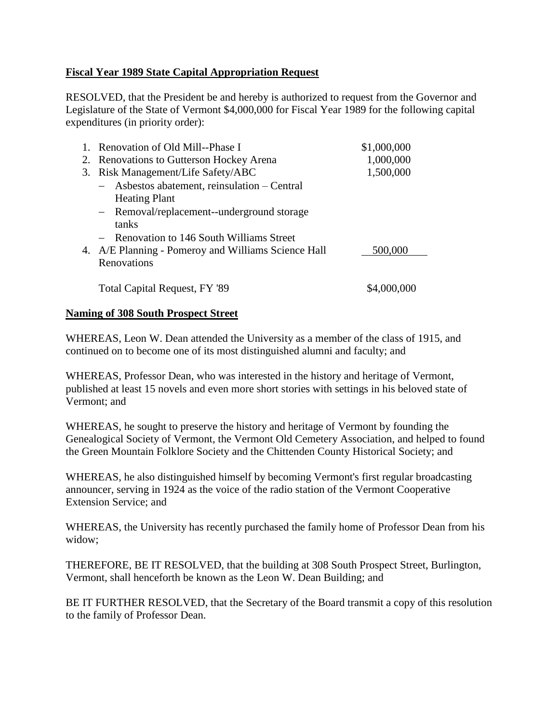# <span id="page-5-0"></span>**Fiscal Year 1989 State Capital Appropriation Request**

RESOLVED, that the President be and hereby is authorized to request from the Governor and Legislature of the State of Vermont \$4,000,000 for Fiscal Year 1989 for the following capital expenditures (in priority order):

|    | 1. Renovation of Old Mill--Phase I                  | \$1,000,000 |
|----|-----------------------------------------------------|-------------|
|    | 2. Renovations to Gutterson Hockey Arena            | 1,000,000   |
| 3. | Risk Management/Life Safety/ABC                     | 1,500,000   |
|    | - Asbestos abatement, reinsulation – Central        |             |
|    | <b>Heating Plant</b>                                |             |
|    | - Removal/replacement--underground storage          |             |
|    | tanks                                               |             |
|    | - Renovation to 146 South Williams Street           |             |
|    | 4. A/E Planning - Pomeroy and Williams Science Hall | 500,000     |
|    | Renovations                                         |             |
|    |                                                     |             |
|    | <b>Total Capital Request, FY '89</b>                |             |

### **Naming of 308 South Prospect Street**

WHEREAS, Leon W. Dean attended the University as a member of the class of 1915, and continued on to become one of its most distinguished alumni and faculty; and

WHEREAS, Professor Dean, who was interested in the history and heritage of Vermont, published at least 15 novels and even more short stories with settings in his beloved state of Vermont; and

WHEREAS, he sought to preserve the history and heritage of Vermont by founding the Genealogical Society of Vermont, the Vermont Old Cemetery Association, and helped to found the Green Mountain Folklore Society and the Chittenden County Historical Society; and

WHEREAS, he also distinguished himself by becoming Vermont's first regular broadcasting announcer, serving in 1924 as the voice of the radio station of the Vermont Cooperative Extension Service; and

WHEREAS, the University has recently purchased the family home of Professor Dean from his widow;

THEREFORE, BE IT RESOLVED, that the building at 308 South Prospect Street, Burlington, Vermont, shall henceforth be known as the Leon W. Dean Building; and

BE IT FURTHER RESOLVED, that the Secretary of the Board transmit a copy of this resolution to the family of Professor Dean.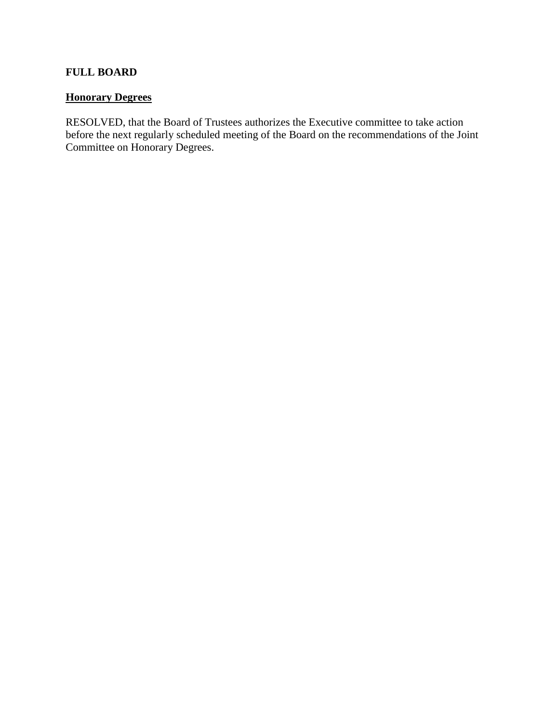# <span id="page-6-0"></span>**FULL BOARD**

# **Honorary Degrees**

RESOLVED, that the Board of Trustees authorizes the Executive committee to take action before the next regularly scheduled meeting of the Board on the recommendations of the Joint Committee on Honorary Degrees.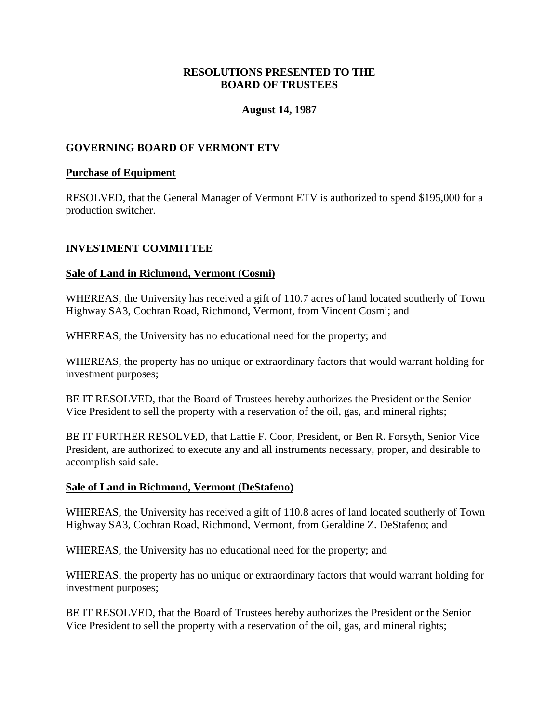### **August 14, 1987**

### <span id="page-7-0"></span>**GOVERNING BOARD OF VERMONT ETV**

#### **Purchase of Equipment**

RESOLVED, that the General Manager of Vermont ETV is authorized to spend \$195,000 for a production switcher.

#### **INVESTMENT COMMITTEE**

#### **Sale of Land in Richmond, Vermont (Cosmi)**

WHEREAS, the University has received a gift of 110.7 acres of land located southerly of Town Highway SA3, Cochran Road, Richmond, Vermont, from Vincent Cosmi; and

WHEREAS, the University has no educational need for the property; and

WHEREAS, the property has no unique or extraordinary factors that would warrant holding for investment purposes;

BE IT RESOLVED, that the Board of Trustees hereby authorizes the President or the Senior Vice President to sell the property with a reservation of the oil, gas, and mineral rights;

BE IT FURTHER RESOLVED, that Lattie F. Coor, President, or Ben R. Forsyth, Senior Vice President, are authorized to execute any and all instruments necessary, proper, and desirable to accomplish said sale.

#### **Sale of Land in Richmond, Vermont (DeStafeno)**

WHEREAS, the University has received a gift of 110.8 acres of land located southerly of Town Highway SA3, Cochran Road, Richmond, Vermont, from Geraldine Z. DeStafeno; and

WHEREAS, the University has no educational need for the property; and

WHEREAS, the property has no unique or extraordinary factors that would warrant holding for investment purposes;

BE IT RESOLVED, that the Board of Trustees hereby authorizes the President or the Senior Vice President to sell the property with a reservation of the oil, gas, and mineral rights;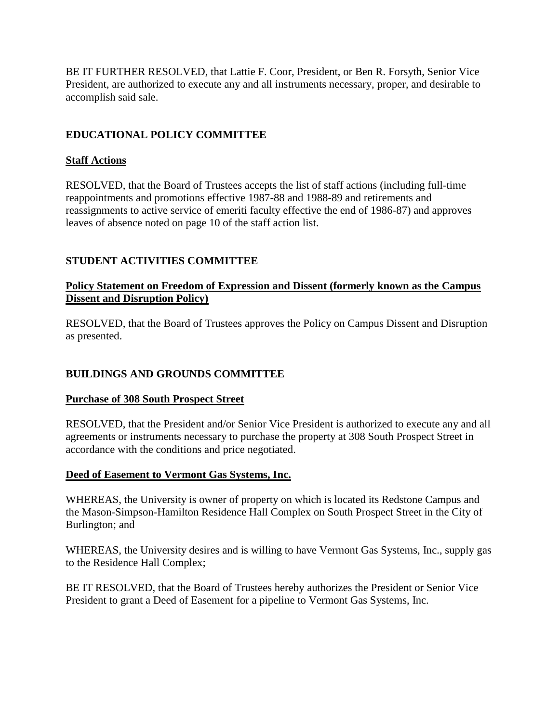<span id="page-8-0"></span>BE IT FURTHER RESOLVED, that Lattie F. Coor, President, or Ben R. Forsyth, Senior Vice President, are authorized to execute any and all instruments necessary, proper, and desirable to accomplish said sale.

# **EDUCATIONAL POLICY COMMITTEE**

# **Staff Actions**

RESOLVED, that the Board of Trustees accepts the list of staff actions (including full-time reappointments and promotions effective 1987-88 and 1988-89 and retirements and reassignments to active service of emeriti faculty effective the end of 1986-87) and approves leaves of absence noted on page 10 of the staff action list.

# **STUDENT ACTIVITIES COMMITTEE**

# **Policy Statement on Freedom of Expression and Dissent (formerly known as the Campus Dissent and Disruption Policy)**

RESOLVED, that the Board of Trustees approves the Policy on Campus Dissent and Disruption as presented.

# **BUILDINGS AND GROUNDS COMMITTEE**

# **Purchase of 308 South Prospect Street**

RESOLVED, that the President and/or Senior Vice President is authorized to execute any and all agreements or instruments necessary to purchase the property at 308 South Prospect Street in accordance with the conditions and price negotiated.

# **Deed of Easement to Vermont Gas Systems, Inc.**

WHEREAS, the University is owner of property on which is located its Redstone Campus and the Mason-Simpson-Hamilton Residence Hall Complex on South Prospect Street in the City of Burlington; and

WHEREAS, the University desires and is willing to have Vermont Gas Systems, Inc., supply gas to the Residence Hall Complex;

BE IT RESOLVED, that the Board of Trustees hereby authorizes the President or Senior Vice President to grant a Deed of Easement for a pipeline to Vermont Gas Systems, Inc.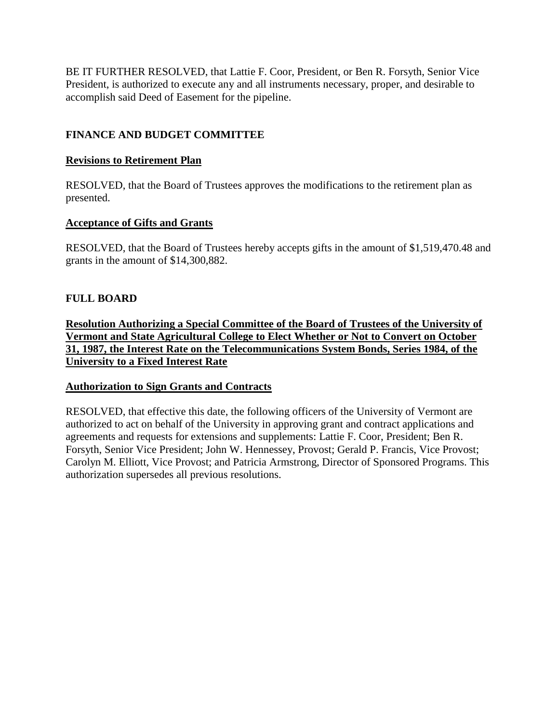<span id="page-9-0"></span>BE IT FURTHER RESOLVED, that Lattie F. Coor, President, or Ben R. Forsyth, Senior Vice President, is authorized to execute any and all instruments necessary, proper, and desirable to accomplish said Deed of Easement for the pipeline.

# **FINANCE AND BUDGET COMMITTEE**

### **Revisions to Retirement Plan**

RESOLVED, that the Board of Trustees approves the modifications to the retirement plan as presented.

### **Acceptance of Gifts and Grants**

RESOLVED, that the Board of Trustees hereby accepts gifts in the amount of \$1,519,470.48 and grants in the amount of \$14,300,882.

# **FULL BOARD**

**Resolution Authorizing a Special Committee of the Board of Trustees of the University of Vermont and State Agricultural College to Elect Whether or Not to Convert on October 31, 1987, the Interest Rate on the Telecommunications System Bonds, Series 1984, of the University to a Fixed Interest Rate**

#### **Authorization to Sign Grants and Contracts**

RESOLVED, that effective this date, the following officers of the University of Vermont are authorized to act on behalf of the University in approving grant and contract applications and agreements and requests for extensions and supplements: Lattie F. Coor, President; Ben R. Forsyth, Senior Vice President; John W. Hennessey, Provost; Gerald P. Francis, Vice Provost; Carolyn M. Elliott, Vice Provost; and Patricia Armstrong, Director of Sponsored Programs. This authorization supersedes all previous resolutions.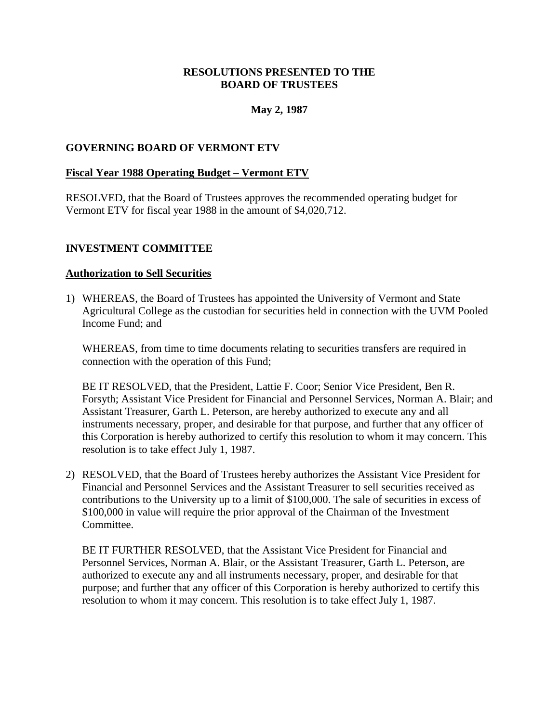### **May 2, 1987**

### <span id="page-10-0"></span>**GOVERNING BOARD OF VERMONT ETV**

#### **Fiscal Year 1988 Operating Budget – Vermont ETV**

RESOLVED, that the Board of Trustees approves the recommended operating budget for Vermont ETV for fiscal year 1988 in the amount of \$4,020,712.

#### **INVESTMENT COMMITTEE**

#### **Authorization to Sell Securities**

1) WHEREAS, the Board of Trustees has appointed the University of Vermont and State Agricultural College as the custodian for securities held in connection with the UVM Pooled Income Fund; and

WHEREAS, from time to time documents relating to securities transfers are required in connection with the operation of this Fund;

BE IT RESOLVED, that the President, Lattie F. Coor; Senior Vice President, Ben R. Forsyth; Assistant Vice President for Financial and Personnel Services, Norman A. Blair; and Assistant Treasurer, Garth L. Peterson, are hereby authorized to execute any and all instruments necessary, proper, and desirable for that purpose, and further that any officer of this Corporation is hereby authorized to certify this resolution to whom it may concern. This resolution is to take effect July 1, 1987.

2) RESOLVED, that the Board of Trustees hereby authorizes the Assistant Vice President for Financial and Personnel Services and the Assistant Treasurer to sell securities received as contributions to the University up to a limit of \$100,000. The sale of securities in excess of \$100,000 in value will require the prior approval of the Chairman of the Investment Committee.

BE IT FURTHER RESOLVED, that the Assistant Vice President for Financial and Personnel Services, Norman A. Blair, or the Assistant Treasurer, Garth L. Peterson, are authorized to execute any and all instruments necessary, proper, and desirable for that purpose; and further that any officer of this Corporation is hereby authorized to certify this resolution to whom it may concern. This resolution is to take effect July 1, 1987.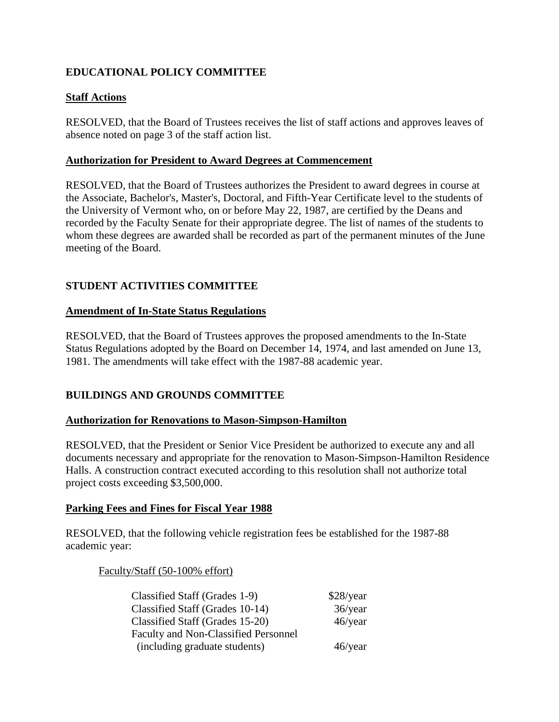# <span id="page-11-0"></span>**EDUCATIONAL POLICY COMMITTEE**

# **Staff Actions**

RESOLVED, that the Board of Trustees receives the list of staff actions and approves leaves of absence noted on page 3 of the staff action list.

### **Authorization for President to Award Degrees at Commencement**

RESOLVED, that the Board of Trustees authorizes the President to award degrees in course at the Associate, Bachelor's, Master's, Doctoral, and Fifth-Year Certificate level to the students of the University of Vermont who, on or before May 22, 1987, are certified by the Deans and recorded by the Faculty Senate for their appropriate degree. The list of names of the students to whom these degrees are awarded shall be recorded as part of the permanent minutes of the June meeting of the Board.

# **STUDENT ACTIVITIES COMMITTEE**

### **Amendment of In-State Status Regulations**

RESOLVED, that the Board of Trustees approves the proposed amendments to the In-State Status Regulations adopted by the Board on December 14, 1974, and last amended on June 13, 1981. The amendments will take effect with the 1987-88 academic year.

# **BUILDINGS AND GROUNDS COMMITTEE**

#### **Authorization for Renovations to Mason-Simpson-Hamilton**

RESOLVED, that the President or Senior Vice President be authorized to execute any and all documents necessary and appropriate for the renovation to Mason-Simpson-Hamilton Residence Halls. A construction contract executed according to this resolution shall not authorize total project costs exceeding \$3,500,000.

#### **Parking Fees and Fines for Fiscal Year 1988**

RESOLVED, that the following vehicle registration fees be established for the 1987-88 academic year:

Faculty/Staff (50-100% effort)

| Classified Staff (Grades 1-9)               | \$28/year  |
|---------------------------------------------|------------|
| Classified Staff (Grades 10-14)             | $36$ /year |
| Classified Staff (Grades 15-20)             | $46$ /year |
| <b>Faculty and Non-Classified Personnel</b> |            |
| (including graduate students)               | $46$ /year |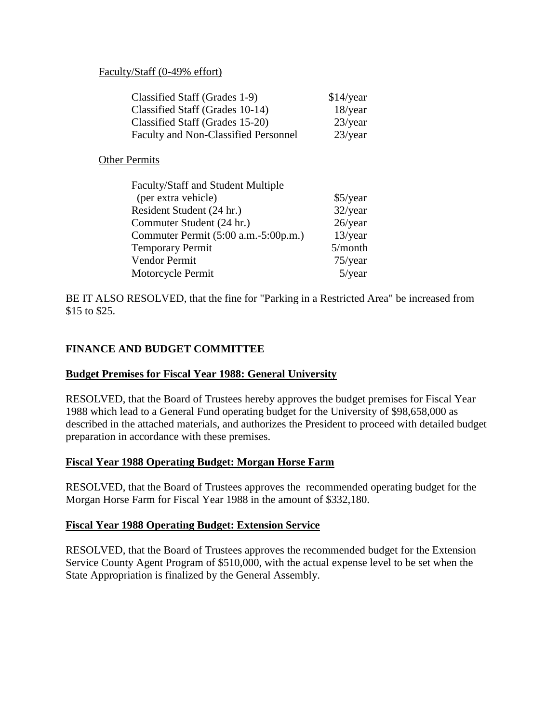#### <span id="page-12-0"></span>Faculty/Staff (0-49% effort)

| Classified Staff (Grades 1-9)        | $$14$ /year |
|--------------------------------------|-------------|
| Classified Staff (Grades 10-14)      | $18$ /year  |
| Classified Staff (Grades 15-20)      | $23$ /year  |
| Faculty and Non-Classified Personnel | $23$ /year  |

Other Permits

| Faculty/Staff and Student Multiple   |            |
|--------------------------------------|------------|
| (per extra vehicle)                  | $$5$ /year |
| Resident Student (24 hr.)            | 32/year    |
| Commuter Student (24 hr.)            | $26$ /year |
| Commuter Permit (5:00 a.m.-5:00p.m.) | $13$ /year |
| <b>Temporary Permit</b>              | 5/month    |
| Vendor Permit                        | $75$ /year |
| Motorcycle Permit                    | $5$ /year  |

BE IT ALSO RESOLVED, that the fine for "Parking in a Restricted Area" be increased from \$15 to \$25.

# **FINANCE AND BUDGET COMMITTEE**

#### **Budget Premises for Fiscal Year 1988: General University**

RESOLVED, that the Board of Trustees hereby approves the budget premises for Fiscal Year 1988 which lead to a General Fund operating budget for the University of \$98,658,000 as described in the attached materials, and authorizes the President to proceed with detailed budget preparation in accordance with these premises.

#### **Fiscal Year 1988 Operating Budget: Morgan Horse Farm**

RESOLVED, that the Board of Trustees approves the recommended operating budget for the Morgan Horse Farm for Fiscal Year 1988 in the amount of \$332,180.

#### **Fiscal Year 1988 Operating Budget: Extension Service**

RESOLVED, that the Board of Trustees approves the recommended budget for the Extension Service County Agent Program of \$510,000, with the actual expense level to be set when the State Appropriation is finalized by the General Assembly.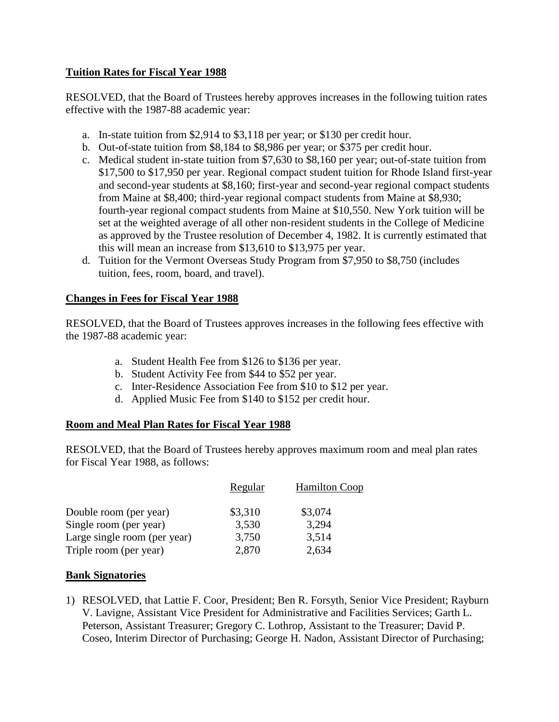# <span id="page-13-0"></span>**Tuition Rates for Fiscal Year 1988**

RESOLVED, that the Board of Trustees hereby approves increases in the following tuition rates effective with the 1987-88 academic year:

- a. In-state tuition from \$2,914 to \$3,118 per year; or \$130 per credit hour.
- b. Out-of-state tuition from \$8,184 to \$8,986 per year; or \$375 per credit hour.
- c. Medical student in-state tuition from \$7,630 to \$8,160 per year; out-of-state tuition from \$17,500 to \$17,950 per year. Regional compact student tuition for Rhode Island first-year and second-year students at \$8,160; first-year and second-year regional compact students from Maine at \$8,400; third-year regional compact students from Maine at \$8,930; fourth-year regional compact students from Maine at \$10,550. New York tuition will be set at the weighted average of all other non-resident students in the College of Medicine as approved by the Trustee resolution of December 4, 1982. It is currently estimated that this will mean an increase from \$13,610 to \$13,975 per year.
- d. Tuition for the Vermont Overseas Study Program from \$7,950 to \$8,750 (includes tuition, fees, room, board, and travel).

# **Changes in Fees for Fiscal Year 1988**

RESOLVED, that the Board of Trustees approves increases in the following fees effective with the 1987-88 academic year:

- a. Student Health Fee from \$126 to \$136 per year.
- b. Student Activity Fee from \$44 to \$52 per year.
- c. Inter-Residence Association Fee from \$10 to \$12 per year.
- d. Applied Music Fee from \$140 to \$152 per credit hour.

# **Room and Meal Plan Rates for Fiscal Year 1988**

RESOLVED, that the Board of Trustees hereby approves maximum room and meal plan rates for Fiscal Year 1988, as follows:

|                              | Regular | <b>Hamilton Coop</b> |
|------------------------------|---------|----------------------|
| Double room (per year)       | \$3,310 | \$3,074              |
| Single room (per year)       | 3,530   | 3,294                |
| Large single room (per year) | 3,750   | 3,514                |
| Triple room (per year)       | 2,870   | 2,634                |

# **Bank Signatories**

1) RESOLVED, that Lattie F. Coor, President; Ben R. Forsyth, Senior Vice President; Rayburn V. Lavigne, Assistant Vice President for Administrative and Facilities Services; Garth L. Peterson, Assistant Treasurer; Gregory C. Lothrop, Assistant to the Treasurer; David P. Coseo, Interim Director of Purchasing; George H. Nadon, Assistant Director of Purchasing;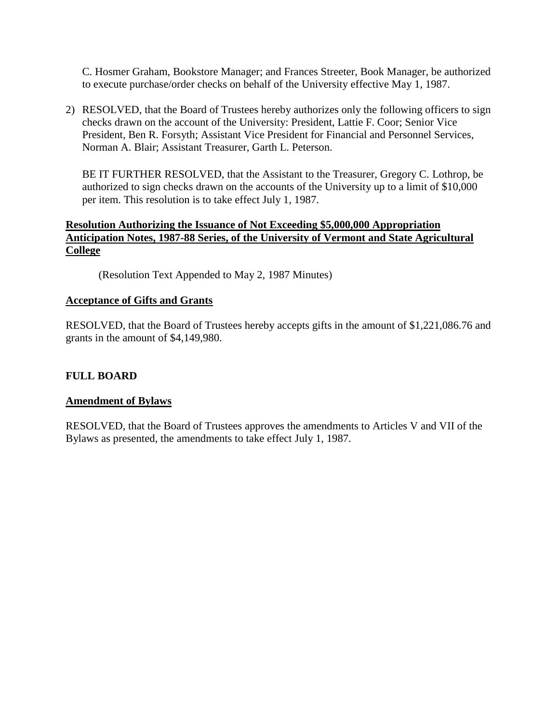<span id="page-14-0"></span>C. Hosmer Graham, Bookstore Manager; and Frances Streeter, Book Manager, be authorized to execute purchase/order checks on behalf of the University effective May 1, 1987.

2) RESOLVED, that the Board of Trustees hereby authorizes only the following officers to sign checks drawn on the account of the University: President, Lattie F. Coor; Senior Vice President, Ben R. Forsyth; Assistant Vice President for Financial and Personnel Services, Norman A. Blair; Assistant Treasurer, Garth L. Peterson.

BE IT FURTHER RESOLVED, that the Assistant to the Treasurer, Gregory C. Lothrop, be authorized to sign checks drawn on the accounts of the University up to a limit of \$10,000 per item. This resolution is to take effect July 1, 1987.

# **Resolution Authorizing the Issuance of Not Exceeding \$5,000,000 Appropriation Anticipation Notes, 1987-88 Series, of the University of Vermont and State Agricultural College**

(Resolution Text Appended to May 2, 1987 Minutes)

# **Acceptance of Gifts and Grants**

RESOLVED, that the Board of Trustees hereby accepts gifts in the amount of \$1,221,086.76 and grants in the amount of \$4,149,980.

# **FULL BOARD**

# **Amendment of Bylaws**

RESOLVED, that the Board of Trustees approves the amendments to Articles V and VII of the Bylaws as presented, the amendments to take effect July 1, 1987.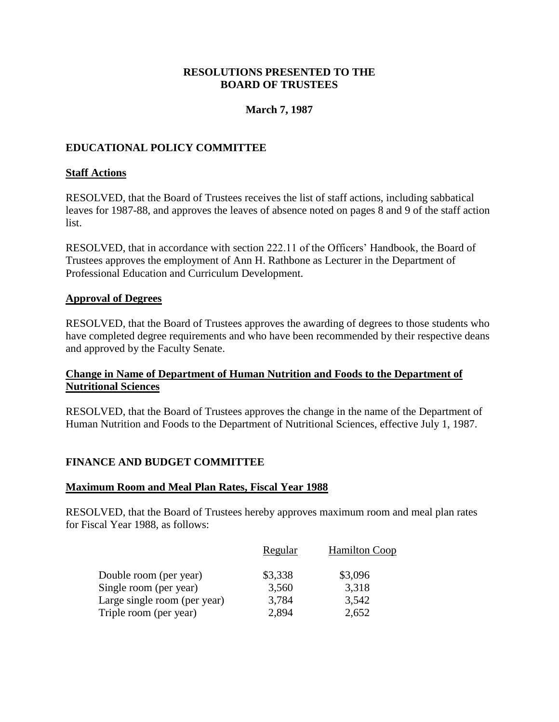### **March 7, 1987**

# <span id="page-15-0"></span>**EDUCATIONAL POLICY COMMITTEE**

#### **Staff Actions**

RESOLVED, that the Board of Trustees receives the list of staff actions, including sabbatical leaves for 1987-88, and approves the leaves of absence noted on pages 8 and 9 of the staff action list.

RESOLVED, that in accordance with section 222.11 of the Officers' Handbook, the Board of Trustees approves the employment of Ann H. Rathbone as Lecturer in the Department of Professional Education and Curriculum Development.

#### **Approval of Degrees**

RESOLVED, that the Board of Trustees approves the awarding of degrees to those students who have completed degree requirements and who have been recommended by their respective deans and approved by the Faculty Senate.

### **Change in Name of Department of Human Nutrition and Foods to the Department of Nutritional Sciences**

RESOLVED, that the Board of Trustees approves the change in the name of the Department of Human Nutrition and Foods to the Department of Nutritional Sciences, effective July 1, 1987.

#### **FINANCE AND BUDGET COMMITTEE**

#### **Maximum Room and Meal Plan Rates, Fiscal Year 1988**

RESOLVED, that the Board of Trustees hereby approves maximum room and meal plan rates for Fiscal Year 1988, as follows:

|                              | Regular | <b>Hamilton Coop</b> |
|------------------------------|---------|----------------------|
| Double room (per year)       | \$3,338 | \$3,096              |
| Single room (per year)       | 3,560   | 3,318                |
| Large single room (per year) | 3,784   | 3,542                |
| Triple room (per year)       | 2,894   | 2,652                |